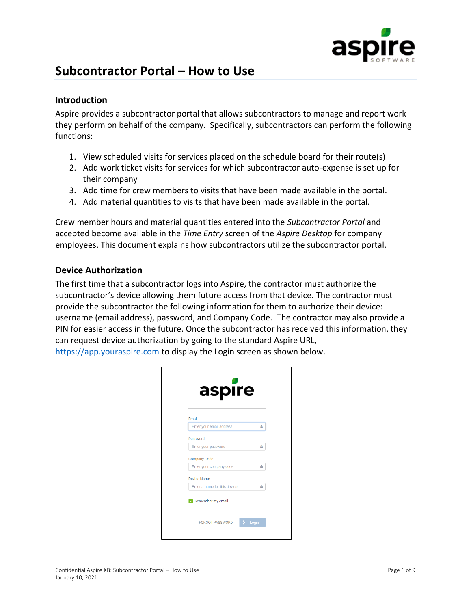

# **Subcontractor Portal – How to Use**

#### **Introduction**

Aspire provides a subcontractor portal that allows subcontractors to manage and report work they perform on behalf of the company. Specifically, subcontractors can perform the following functions:

- 1. View scheduled visits for services placed on the schedule board for their route(s)
- 2. Add work ticket visits for services for which subcontractor auto-expense is set up for their company
- 3. Add time for crew members to visits that have been made available in the portal.
- 4. Add material quantities to visits that have been made available in the portal.

Crew member hours and material quantities entered into the *Subcontractor Portal* and accepted become available in the *Time Entry* screen of the *Aspire Desktop* for company employees. This document explains how subcontractors utilize the subcontractor portal.

#### **Device Authorization**

The first time that a subcontractor logs into Aspire, the contractor must authorize the subcontractor's device allowing them future access from that device. The contractor must provide the subcontractor the following information for them to authorize their device: username (email address), password, and Company Code. The contractor may also provide a PIN for easier access in the future. Once the subcontractor has received this information, they can request device authorization by going to the standard Aspire URL,

| aspire                             |   |
|------------------------------------|---|
| Email                              |   |
| Enter your email address           | å |
| Password                           |   |
| Enter your password                | ≙ |
| <b>Company Code</b>                |   |
| Enter your company code            | ≙ |
| <b>Device Name</b>                 |   |
| Enter a name for this device       | ≙ |
| Remember my email<br>$\mathcal{L}$ |   |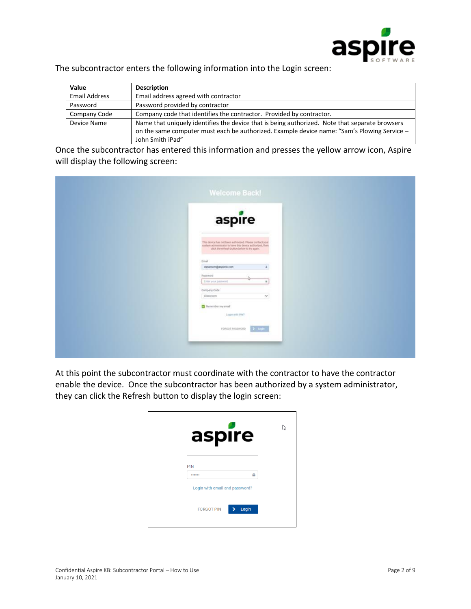

The subcontractor enters the following information into the Login screen:

| Value                | <b>Description</b>                                                                                                                                                                                                |
|----------------------|-------------------------------------------------------------------------------------------------------------------------------------------------------------------------------------------------------------------|
| <b>Email Address</b> | Email address agreed with contractor                                                                                                                                                                              |
| Password             | Password provided by contractor                                                                                                                                                                                   |
| Company Code         | Company code that identifies the contractor. Provided by contractor.                                                                                                                                              |
| Device Name          | Name that uniquely identifies the device that is being authorized. Note that separate browsers<br>on the same computer must each be authorized. Example device name: "Sam's Plowing Service -<br>John Smith iPad" |

Once the subcontractor has entered this information and presses the yellow arrow icon, Aspire will display the following screen:

| aspire                                                                                                                                                                |               |  |
|-----------------------------------------------------------------------------------------------------------------------------------------------------------------------|---------------|--|
| This device has not been authorized. Please contact your<br>system admissibilitie to have this device authorized, then<br>click the refresh button below to by again. |               |  |
| Email                                                                                                                                                                 |               |  |
| cussoom@aspiretx.com                                                                                                                                                  |               |  |
| Patoword                                                                                                                                                              |               |  |
| Emiryourpeaseon                                                                                                                                                       |               |  |
| Company Code                                                                                                                                                          |               |  |
| Classroom                                                                                                                                                             | $\mathcal{M}$ |  |
| <b>C</b> Remember my email                                                                                                                                            |               |  |
| Logist with PINT                                                                                                                                                      |               |  |
|                                                                                                                                                                       |               |  |
| FORGOT PASSWORD                                                                                                                                                       | $\sum$ tinger |  |

At this point the subcontractor must coordinate with the contractor to have the contractor enable the device. Once the subcontractor has been authorized by a system administrator, they can click the Refresh button to display the login screen:

| aspire                         |       |  |
|--------------------------------|-------|--|
| PIN                            |       |  |
|                                |       |  |
| Login with email and password? |       |  |
| <b>FORGOT PIN</b>              | Login |  |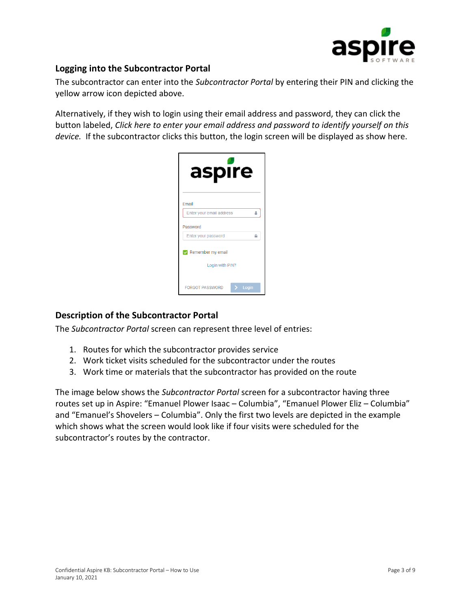

## **Logging into the Subcontractor Portal**

The subcontractor can enter into the *Subcontractor Portal* by entering their PIN and clicking the yellow arrow icon depicted above.

Alternatively, if they wish to login using their email address and password, they can click the button labeled, *Click here to enter your email address and password to identify yourself on this device.* If the subcontractor clicks this button, the login screen will be displayed as show here.

| aspire                            |   |
|-----------------------------------|---|
| Email                             |   |
| Enter your email address          | Δ |
| Password                          |   |
| Enter your password<br>≏          |   |
| $\triangledown$ Remember my email |   |
| Login with PIN?                   |   |
| <b>FORGOT PASSWORD</b><br>Login   |   |

## **Description of the Subcontractor Portal**

The *Subcontractor Portal* screen can represent three level of entries:

- 1. Routes for which the subcontractor provides service
- 2. Work ticket visits scheduled for the subcontractor under the routes
- 3. Work time or materials that the subcontractor has provided on the route

The image below shows the *Subcontractor Portal* screen for a subcontractor having three routes set up in Aspire: "Emanuel Plower Isaac – Columbia", "Emanuel Plower Eliz – Columbia" and "Emanuel's Shovelers – Columbia". Only the first two levels are depicted in the example which shows what the screen would look like if four visits were scheduled for the subcontractor's routes by the contractor.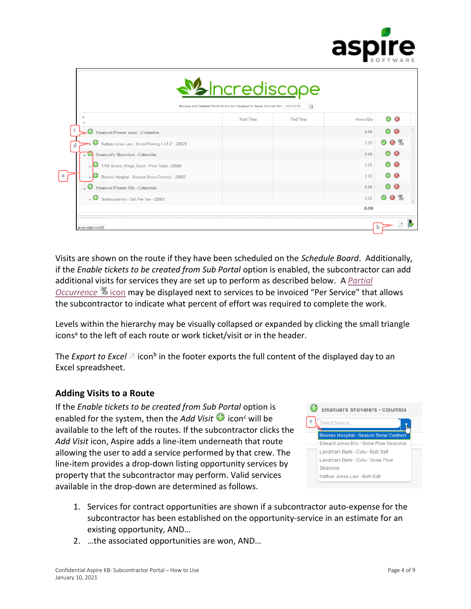

|                                                                         | <u>Mondescape</u><br>Review and Submit Work Items for Emanuel's Snow Service for   11/25/2019 | 曲               |           |                       |
|-------------------------------------------------------------------------|-----------------------------------------------------------------------------------------------|-----------------|-----------|-----------------------|
| ٠                                                                       | <b>Start Time</b>                                                                             | <b>End Time</b> | Hours/Qtv | $\bullet$<br>$\infty$ |
| $\mathbf{c}$<br><b>Emanuel Plower Isaac - Columbia</b>                  |                                                                                               |                 | 0.00      | ø                     |
| œ<br>Nathan Jones Law - Snow Plowing 4.01-6" - 22679<br>d               |                                                                                               |                 | 0.00      | <b>8</b> %            |
| $\bullet$<br><b>Emanuel's Shovelers - Columbia</b>                      |                                                                                               |                 | 0.00      | $\bullet$<br>Ø        |
| ÆЭ<br>1709 Bristol_Ridge_Court - Plow Truck - 22680<br>$\boldsymbol{A}$ |                                                                                               |                 | 0.00      | 08                    |
| Boones Hospital - Season Snow Contract - 22682                          |                                                                                               |                 | 0.00      | 08                    |
| ₩<br><b>Emanuel Plower Eliz - Columbia</b>                              |                                                                                               |                 | 0.00      | <b>B</b><br>ø         |
| $\overline{.}$<br>Shakespeare's - Salt Per Ton - 22683                  |                                                                                               |                 | 0.00      | 8 %                   |
|                                                                         |                                                                                               |                 | 0.00      |                       |

Visits are shown on the route if they have been scheduled on the *Schedule Board*. Additionally, if the *Enable tickets to be created from Sub Portal* option is enabled, the subcontractor can add additional visits for services they are set up to perform as described below. A *[Partial](#page-8-0)  [Occurrence](#page-8-0)* <sup>%</sup> icon may be displayed next to services to be invoiced "Per Service" that allows the subcontractor to indicate what percent of effort was required to complete the work.

Levels within the hierarchy may be visually collapsed or expanded by clicking the small triangle icons<sup>a</sup> to the left of each route or work ticket/visit or in the header.

The *Export to Excel*  $\triangleq$  icon<sup>b</sup> in the footer exports the full content of the displayed day to an Excel spreadsheet.

## **Adding Visits to a Route**

If the *Enable tickets to be created from Sub Portal* option is enabled for the system, then the *Add Visit*  $\bullet$  icon<sup>c</sup> will be available to the left of the routes. If the subcontractor clicks the *Add Visit* icon, Aspire adds a line-item underneath that route allowing the user to add a service performed by that crew. The line-item provides a drop-down listing opportunity services by property that the subcontractor may perform. Valid services available in the drop-down are determined as follows.



- 1. Services for contract opportunities are shown if a subcontractor auto-expense for the subcontractor has been established on the opportunity-service in an estimate for an existing opportunity, AND…
- 2. …the associated opportunities are won, AND…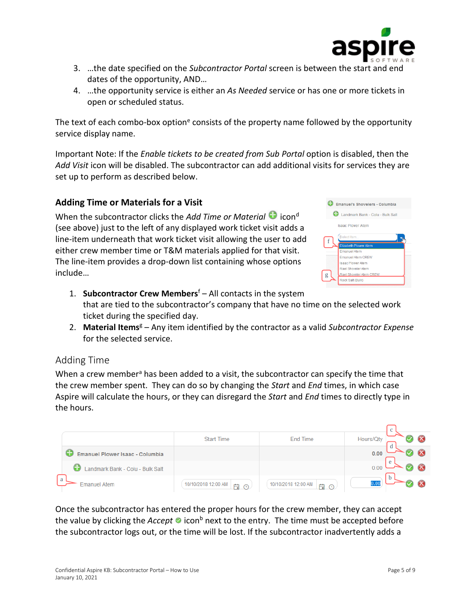

- 3. …the date specified on the *Subcontractor Portal* screen is between the start and end dates of the opportunity, AND…
- 4. …the opportunity service is either an *As Needed* service or has one or more tickets in open or scheduled status.

The text of each combo-box option<sup>e</sup> consists of the property name followed by the opportunity service display name.

Important Note: If the *Enable tickets to be created from Sub Portal* option is disabled, then the *Add Visit* icon will be disabled. The subcontractor can add additional visits for services they are set up to perform as described below.

## **Adding Time or Materials for a Visit**

When the subcontractor clicks the *Add Time or Material*  $\bullet$  icon<sup>d</sup> (see above) just to the left of any displayed work ticket visit adds a line-item underneath that work ticket visit allowing the user to add either crew member time or T&M materials applied for that visit. The line-item provides a drop-down list containing whose options include…

| <b>Emanuel's Shovelers - Columbia</b>               |
|-----------------------------------------------------|
| Landmark Bank - Colu - Bulk Salt                    |
| <b>Isaac Plower Afem</b>                            |
| Select Item<br>f                                    |
| <b>Elizabeth Plower Atem</b><br><b>Emanuel Atem</b> |
| <b>Emanuel Atem CREW</b>                            |
| <b>Isaac Plower Atem</b>                            |
| Rael Shoveler Atem                                  |
| Rael Shoveler Atem CREW<br>g                        |
| Rock Salt (Bulk)                                    |
|                                                     |

- 1. **Subcontractor Crew Members**<sup>f</sup> All contacts in the system that are tied to the subcontractor's company that have no time on the selected work ticket during the specified day.
- 2. **Material Items**<sup>g</sup> Any item identified by the contractor as a valid *Subcontractor Expense* for the selected service.

## Adding Time

When a crew member<sup>a</sup> has been added to a visit, the subcontractor can specify the time that the crew member spent. They can do so by changing the *Start* and *End* times, in which case Aspire will calculate the hours, or they can disregard the *Start* and *End* times to directly type in the hours.

|                                        |                                      |                                      | $\sim$<br>◡ |
|----------------------------------------|--------------------------------------|--------------------------------------|-------------|
|                                        | <b>Start Time</b>                    | End Time                             | Hours/Qty   |
| <b>Emanuel Plower Isaac - Columbia</b> |                                      |                                      | 0.00        |
| Landmark Bank - Colu - Bulk Salt       |                                      |                                      | e<br>0.00   |
| a<br>Emanuel Atem                      | 10/10/2018 12:00 AM<br>曲<br>$\Omega$ | 10/10/2018 12:00 AM<br>曲<br>$\Omega$ | h           |

Once the subcontractor has entered the proper hours for the crew member, they can accept the value by clicking the *Accept* **o** icon<sup>b</sup> next to the entry. The time must be accepted before the subcontractor logs out, or the time will be lost. If the subcontractor inadvertently adds a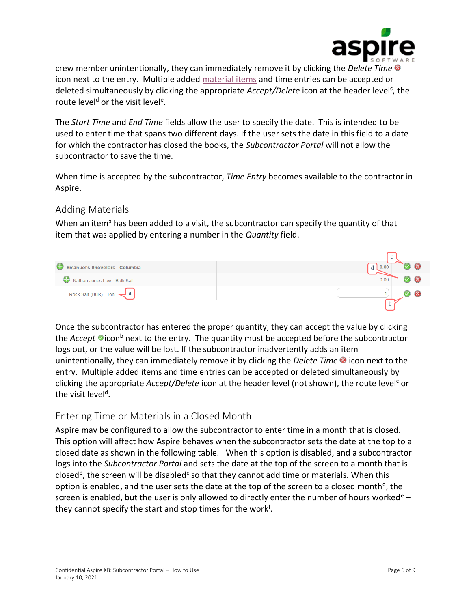

crew member unintentionally, they can immediately remove it by clicking the *Delete Time* icon next to the entry. Multiple added [material items](#page-5-0) and time entries can be accepted or deleted simultaneously by clicking the appropriate *Accept/Delete* icon at the header level<sup>c</sup>, the route level<sup>d</sup> or the visit level<sup>e</sup>.

The *Start Time* and *End Time* fields allow the user to specify the date. This is intended to be used to enter time that spans two different days. If the user sets the date in this field to a date for which the contractor has closed the books, the *Subcontractor Portal* will not allow the subcontractor to save the time.

When time is accepted by the subcontractor, *Time Entry* becomes available to the contractor in Aspire.

# <span id="page-5-0"></span>Adding Materials

When an item<sup>a</sup> has been added to a visit, the subcontractor can specify the quantity of that item that was applied by entering a number in the *Quantity* field.



Once the subcontractor has entered the proper quantity, they can accept the value by clicking the *Accept* **D**icon<sup>b</sup> next to the entry. The quantity must be accepted before the subcontractor logs out, or the value will be lost. If the subcontractor inadvertently adds an item unintentionally, they can immediately remove it by clicking the *Delete Time* **i**con next to the entry. Multiple added items and time entries can be accepted or deleted simultaneously by clicking the appropriate *Accept/Delete* icon at the header level (not shown), the route level<sup>c</sup> or the visit level<sup>d</sup>.

## Entering Time or Materials in a Closed Month

Aspire may be configured to allow the subcontractor to enter time in a month that is closed. This option will affect how Aspire behaves when the subcontractor sets the date at the top to a closed date as shown in the following table. When this option is disabled, and a subcontractor logs into the *Subcontractor Portal* and sets the date at the top of the screen to a month that is closed<sup>b</sup>, the screen will be disabled<sup>c</sup> so that they cannot add time or materials. When this option is enabled, and the user sets the date at the top of the screen to a closed month<sup>d</sup>, the screen is enabled, but the user is only allowed to directly enter the number of hours worked<sup>e</sup> – they cannot specify the start and stop times for the work<sup>f</sup>.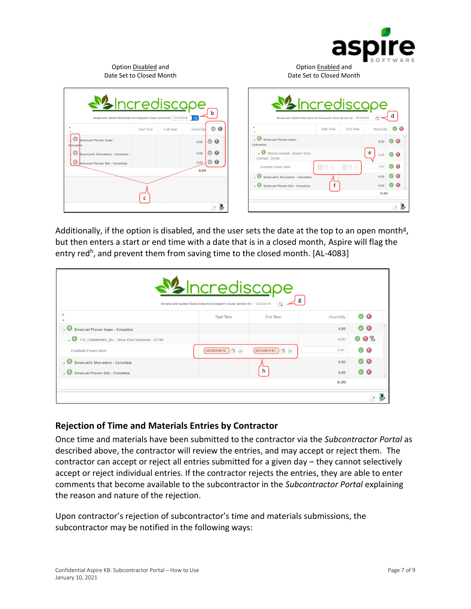

| Date Set to Closed Month                                                                                 | Option Disabled and |                 |              |                                    | Date Set to Closed Month                                                                                      | Option Enabled and |                 |           |  |
|----------------------------------------------------------------------------------------------------------|---------------------|-----------------|--------------|------------------------------------|---------------------------------------------------------------------------------------------------------------|--------------------|-----------------|-----------|--|
| <b><i>M</i></b> Incrediscope<br>Review and Submit Work Items for Emanuel's Snow Service for [05/14/2019] |                     |                 | l A          | h                                  | <b><i><u>M</u></i></b> Incrediscope<br>Review and Submit Work Items for Emanuel's Snow Service for 05/15/2019 |                    |                 | 自         |  |
|                                                                                                          | <b>Start Time</b>   | <b>End Time</b> | Hours/Qty    | $\circ$<br>$^{\circ}$              |                                                                                                               | <b>Start Time</b>  | <b>End Time</b> | Hours/Qt  |  |
| C<br>Emanuel Plower Isaac -<br>C blumb a                                                                 |                     |                 | 0.00         | $O$ $O$                            | Emanuel Plower Isaac -<br>Columbia                                                                            |                    |                 | 5.00      |  |
| ⊖<br>Emanuel's Shovelers - Columbia<br>€                                                                 |                     |                 | 0.00<br>0.00 | $^{\circ}$<br>Ø<br>$\circ$ $\circ$ | Boones Hospital - Season Snow<br>Contract - 22189                                                             |                    |                 | e<br>5.00 |  |
| Emanuel Plower Eliz - Columbia                                                                           |                     |                 | 0.00         |                                    | <b>Elizabeth Plower Atem</b>                                                                                  | $\Box$ E $\odot$   | <b>TEG</b>      | 5.00      |  |
|                                                                                                          |                     |                 |              |                                    | <b>D</b> Emanuel's Shovelers - Columbia                                                                       |                    |                 | 0.00      |  |
|                                                                                                          |                     |                 |              |                                    | <b>D</b> Emanuel Plower Eliz - Columbia                                                                       |                    |                 | 0.00      |  |
|                                                                                                          | c                   |                 |              |                                    |                                                                                                               |                    |                 | 5.00      |  |
|                                                                                                          |                     |                 |              | $\mathbf{x}$                       |                                                                                                               |                    |                 |           |  |

Additionally, if the option is disabled, and the user sets the date at the top to an open month<sup>g</sup>, but then enters a start or end time with a date that is in a closed month, Aspire will flag the entry red<sup>h</sup>, and prevent them from saving time to the closed month. [AL-4083]

|                                                      | <u>Maincrediscape</u><br>Review and Submit Work Items for Emanuel's Snow Service for   10/22/2019 | 自                 | g         |                     |
|------------------------------------------------------|---------------------------------------------------------------------------------------------------|-------------------|-----------|---------------------|
|                                                      | <b>Start Time</b>                                                                                 | End Time          | Hours/Qty | $\otimes$ $\otimes$ |
| $\cdot$ $\bullet$<br>Emanuel Plower Isaac - Columbia |                                                                                                   |                   | 0.00      | $\alpha$            |
| 116_Chesterfield_Blu - Snow Plow Seasonal - 22186    |                                                                                                   |                   | 0.00      | 6%<br>М             |
| <b>Elizabeth Plower Atem</b>                         | 05/15/2019 12 日 ①                                                                                 | 05/15/2019 01 自 ① | 0.00      | $\infty$<br>Ø       |
| <b>C</b> Emanuel's Shovelers - Columbia              |                                                                                                   |                   | 0.00      | 08                  |
| . C.<br>Emanuel Plower Eliz - Columbia               |                                                                                                   |                   | 0.00      |                     |
|                                                      |                                                                                                   |                   | 0.00      |                     |
|                                                      |                                                                                                   |                   |           |                     |

#### **Rejection of Time and Materials Entries by Contractor**

Once time and materials have been submitted to the contractor via the *Subcontractor Portal* as described above, the contractor will review the entries, and may accept or reject them. The contractor can accept or reject all entries submitted for a given day – they cannot selectively accept or reject individual entries. If the contractor rejects the entries, they are able to enter comments that become available to the subcontractor in the *Subcontractor Portal* explaining the reason and nature of the rejection.

Upon contractor's rejection of subcontractor's time and materials submissions, the subcontractor may be notified in the following ways: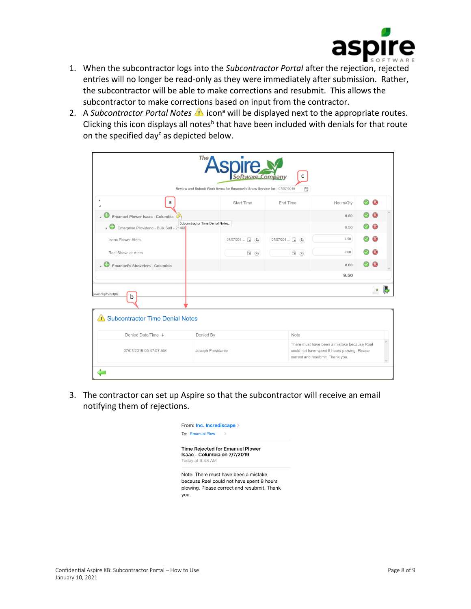

- 1. When the subcontractor logs into the *Subcontractor Portal* after the rejection, rejected entries will no longer be read-only as they were immediately after submission. Rather, the subcontractor will be able to make corrections and resubmit. This allows the subcontractor to make corrections based on input from the contractor.
- 2. A *Subcontractor Portal Notes* **i** icon<sup>a</sup> will be displayed next to the appropriate routes. Clicking this icon displays all notes<sup>b</sup> that have been included with denials for that route on the specified day<sup>c</sup> as depicted below.

|                                                  | <b>ASpire</b>                                                          | are Company<br>$\mathsf{C}$ |                                                                                             |                                 |
|--------------------------------------------------|------------------------------------------------------------------------|-----------------------------|---------------------------------------------------------------------------------------------|---------------------------------|
|                                                  | Review and Submit Work Items for Emanuel's Snow Service for 07/07/2019 | 茼                           |                                                                                             |                                 |
| a                                                | <b>Start Time</b>                                                      | End Time                    | Hours/Qty                                                                                   | ◚<br>$\boldsymbol{\mathcal{S}}$ |
| Emanuel Plower Isaac - Columbia                  |                                                                        |                             | 9.50                                                                                        |                                 |
| Enterprise Providenc - Bulk Salt - 21469         | Subcontractor Time Denial Notes                                        |                             | 9.50                                                                                        |                                 |
| Isaac Plower Atem                                | 07/07/201 ■ A                                                          | 07/07/201 □ (4)             | 1.50                                                                                        |                                 |
| Rael Shoveler Atem                               | <b>自⊙</b>                                                              | 自 <sup>⊙</sup>              | 8.00                                                                                        |                                 |
| $\overline{a}$<br>Emanuel's Shovelers - Columbia |                                                                        |                             | 0.00                                                                                        |                                 |
|                                                  |                                                                        |                             | 9.50                                                                                        |                                 |
|                                                  |                                                                        |                             |                                                                                             |                                 |
| javascript:void(0)<br>b                          |                                                                        |                             |                                                                                             |                                 |
|                                                  |                                                                        |                             |                                                                                             |                                 |
| Subcontractor Time Denial Notes                  |                                                                        |                             |                                                                                             |                                 |
| Denied Date/Time +                               | Denied By                                                              | Note                        |                                                                                             |                                 |
|                                                  | Joseph Presidante                                                      |                             | There must have been a mistake because Rael<br>could not have spent 8 hours plowing. Please |                                 |

3. The contractor can set up Aspire so that the subcontractor will receive an email notifying them of rejections.